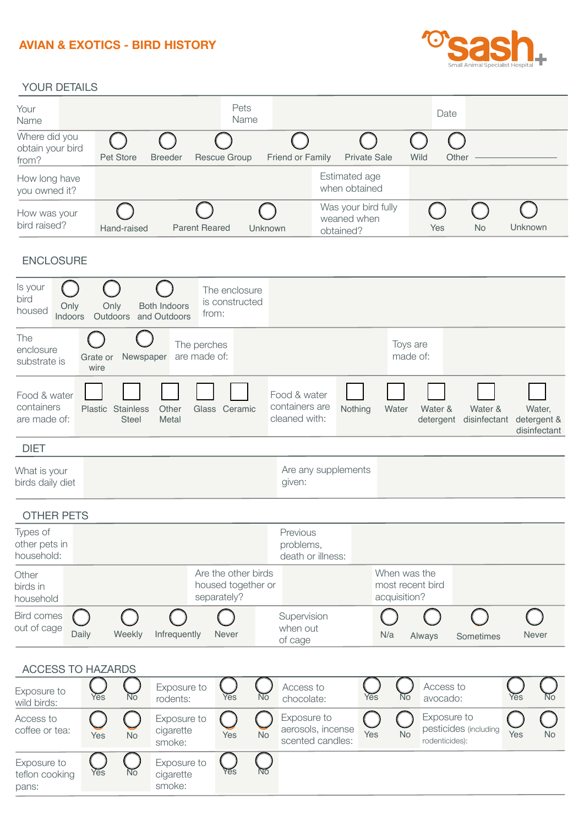# **AVIAN & EXOTICS - BIRD HISTORY**



#### YOUR DETAILS

| Your<br>Name                               |             |                                | Pets<br>Name   |                         |                                                 |      | Date  |           |         |
|--------------------------------------------|-------------|--------------------------------|----------------|-------------------------|-------------------------------------------------|------|-------|-----------|---------|
| Where did you<br>obtain your bird<br>from? | Pet Store   | <b>Breeder</b><br>Rescue Group |                | <b>Friend or Family</b> | <b>Private Sale</b>                             | Wild | Other |           |         |
| How long have<br>you owned it?             |             |                                |                |                         | Estimated age<br>when obtained                  |      |       |           |         |
| How was your<br>bird raised?               | Hand-raised | <b>Parent Reared</b>           | <b>Unknown</b> |                         | Was your bird fully<br>weaned when<br>obtained? |      | Yes   | <b>No</b> | Unknown |

### ENCLOSURE

| Is your<br>bird<br>Only<br>housed<br>Indoors | Only<br>Both Indoors<br><b>Outdoors</b><br>and Outdoors | The enclosure<br>is constructed<br>from: |                                                 |         |                               |                         |                                       |
|----------------------------------------------|---------------------------------------------------------|------------------------------------------|-------------------------------------------------|---------|-------------------------------|-------------------------|---------------------------------------|
| The<br>enclosure<br>substrate is             | Newspaper<br>Grate or<br>wire                           | The perches<br>are made of:              |                                                 |         | Toys are<br>made of:          |                         |                                       |
| Food & water<br>containers<br>are made of:   | Plastic Stainless<br>Other<br><b>Steel</b><br>Metal     | Ceramic<br>Glass                         | Food & water<br>containers are<br>cleaned with: | Nothing | Water<br>Water &<br>detergent | Water &<br>disinfectant | Water,<br>detergent &<br>disinfectant |
| <b>DIET</b>                                  |                                                         |                                          |                                                 |         |                               |                         |                                       |
| What is your                                 |                                                         |                                          | Are any supplements                             |         |                               |                         |                                       |

birds daily diet

#### OTHER PETS

| Types of<br>other pets in<br>household: |       |        |              |                                                          | Previous<br>problems,<br>death or illness: |              |                                  |           |              |  |
|-----------------------------------------|-------|--------|--------------|----------------------------------------------------------|--------------------------------------------|--------------|----------------------------------|-----------|--------------|--|
| Other<br>birds in<br>household          |       |        |              | Are the other birds<br>housed together or<br>separately? |                                            | acquisition? | When was the<br>most recent bird |           |              |  |
| Bird comes<br>out of cage               | Daily | Weekly | Infrequently | Never                                                    | Supervision<br>when out<br>of cage         | N/a          | Always                           | Sometimes | <b>Never</b> |  |

given:

### ACCESS TO HAZARDS

| Exposure to<br>wild birds:             | Yes | No        | Exposure to<br>rodents:            | Yes | Νō        | Access to<br>chocolate:                              | Yes | No | Access to<br>avocado:                                  | Yes | N <sub>o</sub> |
|----------------------------------------|-----|-----------|------------------------------------|-----|-----------|------------------------------------------------------|-----|----|--------------------------------------------------------|-----|----------------|
| Access to<br>coffee or tea:            | Yes | <b>No</b> | Exposure to<br>cigarette<br>smoke: | Yes | <b>No</b> | Exposure to<br>aerosols, incense<br>scented candles: | Yes | No | Exposure to<br>pesticides (including<br>rodenticides): | Yes | <b>No</b>      |
| Exposure to<br>teflon cooking<br>pans: | Yes | Νō        | Exposure to<br>cigarette<br>smoke: | Yes | Νō        |                                                      |     |    |                                                        |     |                |